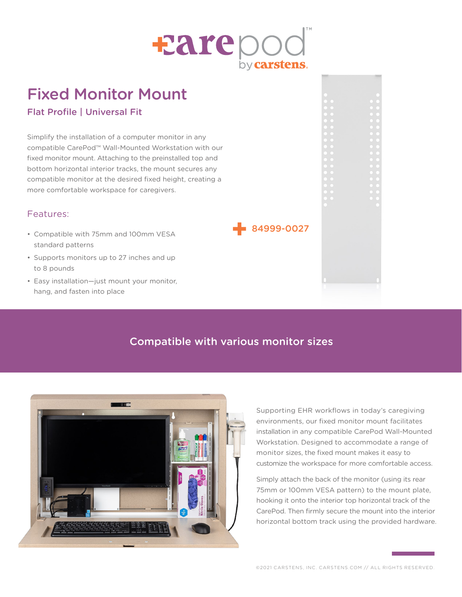

# Fixed Monitor Mount

### Flat Profile | Universal Fit

Simplify the installation of a computer monitor in any compatible CarePod™ Wall-Mounted Workstation with our fixed monitor mount. Attaching to the preinstalled top and bottom horizontal interior tracks, the mount secures any compatible monitor at the desired fixed height, creating a more comfortable workspace for caregivers.

#### Features:

- Compatible with 75mm and 100mm VESA standard patterns
- Supports monitors up to 27 inches and up to 8 pounds
- Easy installation—just mount your monitor, hang, and fasten into place



## Compatible with various monitor sizes



Supporting EHR workflows in today's caregiving environments, our fixed monitor mount facilitates installation in any compatible CarePod Wall-Mounted Workstation. Designed to accommodate a range of monitor sizes, the fixed mount makes it easy to customize the workspace for more comfortable access.

Simply attach the back of the monitor (using its rear 75mm or 100mm VESA pattern) to the mount plate, hooking it onto the interior top horizontal track of the CarePod. Then firmly secure the mount into the interior horizontal bottom track using the provided hardware.

©2021 CARSTENS, INC. CARSTENS.COM // ALL RIGHTS RESERVED.